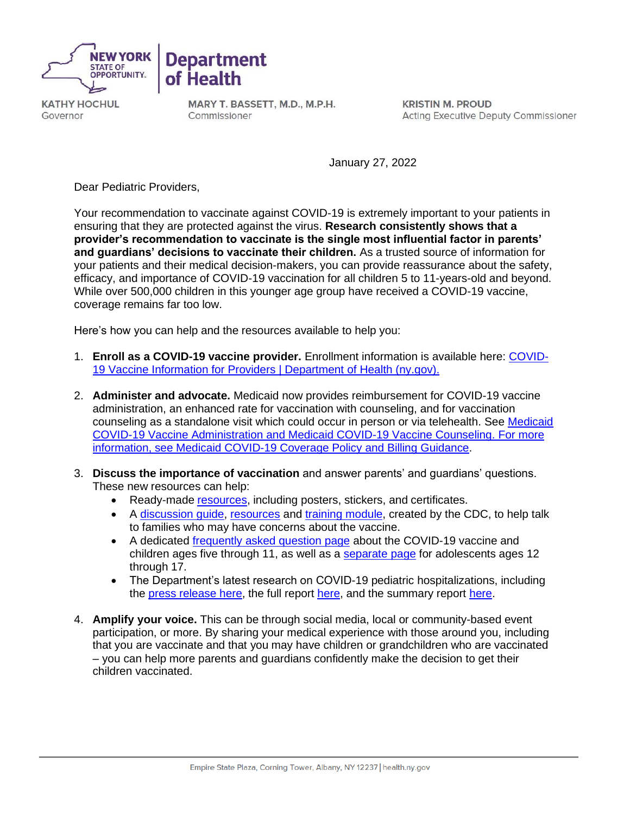



**KATHY HOCHUL** Governor

MARY T. BASSETT, M.D., M.P.H. Commissioner

**KRISTIN M. PROUD Acting Executive Deputy Commissioner** 

January 27, 2022

Dear Pediatric Providers,

Your recommendation to vaccinate against COVID-19 is extremely important to your patients in ensuring that they are protected against the virus. **Research consistently shows that a provider's recommendation to vaccinate is the single most influential factor in parents' and guardians' decisions to vaccinate their children.** As a trusted source of information for your patients and their medical decision-makers, you can provide reassurance about the safety, efficacy, and importance of COVID-19 vaccination for all children 5 to 11-years-old and beyond. While over 500,000 children in this younger age group have received a COVID-19 vaccine, coverage remains far too low.

Here's how you can help and the resources available to help you:

- 1. **Enroll as a COVID-19 vaccine provider.** Enrollment information is available here: [COVID-](https://coronavirus.health.ny.gov/ProvidersVaccine)19 [Vaccine Information](https://coronavirus.health.ny.gov/ProvidersVaccine) for Providers | Department of Health (ny.gov).
- 2. **Administer and advocate.** Medicaid now provides reimbursement for COVID-19 vaccine administration, an enhanced rate for vaccination with counseling, and for vaccination counseling as a standalone visit which could occur in person or via telehealth. See [Medicaid](https://www.health.ny.gov/health_care/medicaid/covid19/guidance/docs/billing_guidance.pdf) [COVID-19 Vaccine Administration a](https://www.health.ny.gov/health_care/medicaid/covid19/guidance/docs/billing_guidance.pdf)nd [Medicaid COVID-19 Vaccine Counseling.](https://www.health.ny.gov/health_care/medicaid/program/update/2021/no13_2021-11.htm#vaccine) For more information, see Medicaid COVID-19 [Coverage Policy and Billing](https://health.ny.gov/health_care/medicaid/covid19/guidance/billing_guidance.htm) Guidance.
- 3. **Discuss the importance of vaccination** and answer parents' and guardians' questions. These new resources can help:
	- Ready-made [resources,](https://covid19vaccine.health.ny.gov/educational-assets-1) including posters, stickers, and certificates.
	- A discussion quide, [resources](https://www.cdc.gov/vaccines/covid-19/planning/children/resources-promote.html) and [training module,](https://www.cdc.gov/vaccines/covid-19/hcp/conversations-module.html) created by the CDC, to help talk to families who may have concerns about the vaccine.
	- A dedicated [frequently asked question page](https://covid19vaccine.health.ny.gov/frequently-asked-questions-about-5-11-year-olds-and-covid-19-vaccine) about the COVID-19 vaccine and children ages five through 11, as well as a [separate page](https://covid19vaccine.health.ny.gov/frequently-asked-questions-about-12-17-year-olds-and-covid-19-vaccine) for adolescents ages 12 through 17.
	- The Department's latest research on COVID-19 pediatric hospitalizations, including the press [release](https://www.health.ny.gov/press/releases/2022/2022-01-07_pediatric_hospitalizations.htm) [here,](https://www.health.ny.gov/press/releases/2022/docs/pediatric_covid-19_hospitalization_report.pdf) the full report here, and the summary report [here.](https://www.health.ny.gov/press/releases/2022/docs/pediatric_covid-19_hospitalization_report_summary.pdf)
- 4. **Amplify your voice.** This can be through social media, local or community-based event participation, or more. By sharing your medical experience with those around you, including that you are vaccinate and that you may have children or grandchildren who are vaccinated – you can help more parents and guardians confidently make the decision to get their children vaccinated.